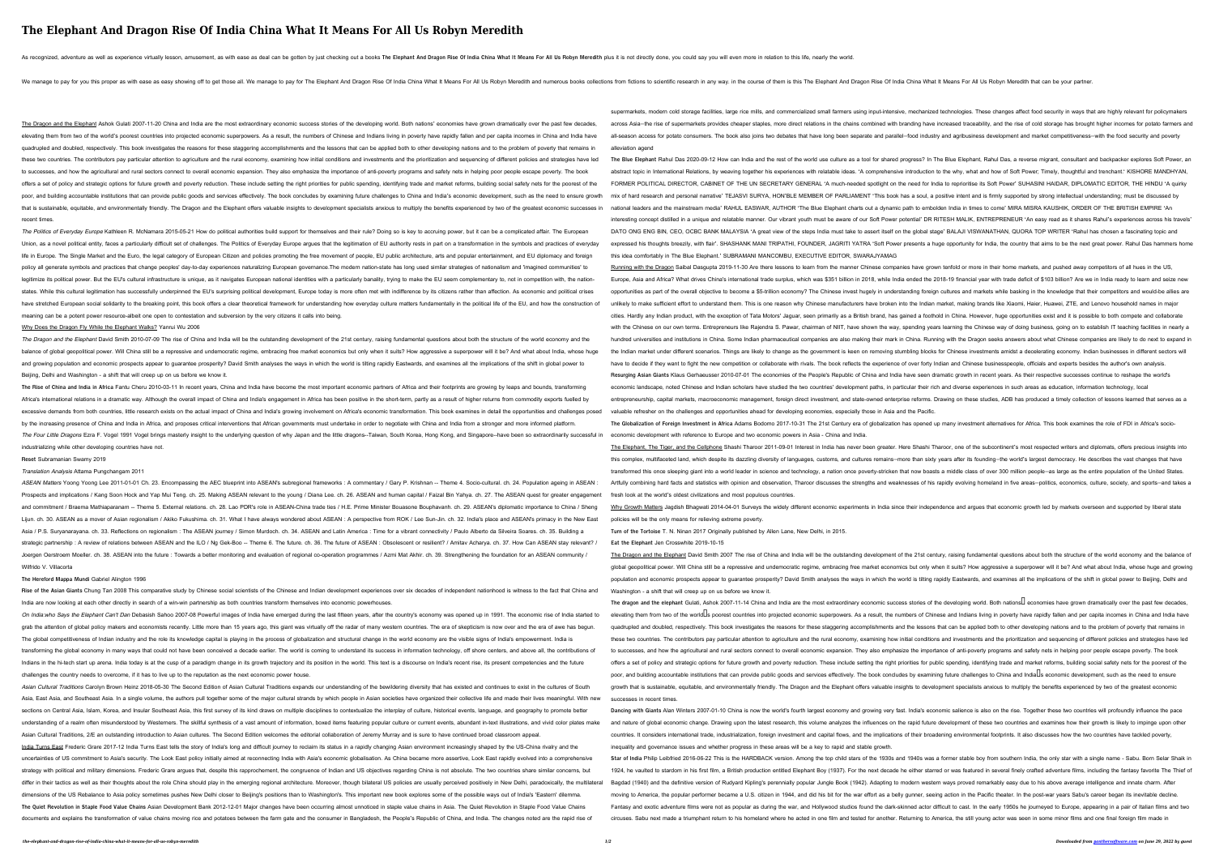Running with the Dragon Saibal Dasgupta 2019-11-30 Are there lessons to learn from the manner Chinese companies have grown tenfold or more in their home markets, and pushed away competitors of all hues in the US, Europe, Asia and Africa? What drives China's international trade surplus, which was \$351 billion in 2018, while India ended the 2018-19 financial year with trade deficit of \$103 billion? Are we in India ready to learn and opportunities as part of the overall objective to become a \$5-trillion economy? The Chinese invest hugely in understanding foreign cultures and markets while basking in the knowledge that their competitors and would-be all unlikely to make sufficient effort to understand them. This is one reason why Chinese manufacturers have broken into the Indian market, making brands like Xiaomi, Haier, Huawei, ZTE, and Lenovo household names in major cities. Hardly any Indian product, with the exception of Tata Motors' Jaguar, seen primarily as a British brand, has gained a foothold in China. However, huge opportunities exist and it is possible to both compete and coll with the Chinese on our own terms. Entrepreneurs like Rajendra S. Pawar, chairman of NIIT, have shown the way, spending years learning the Chinese way of doing business, going on to establish IT teaching facilities in near hundred universities and institutions in China. Some Indian pharmaceutical companies are also making their mark in China. Running with the Dragon seeks answers about what Chinese companies are likely to do next to expand i the Indian market under different scenarios. Things are likely to change as the government is keen on removing stumbling blocks for Chinese investments amidst a decelerating economy. Indian businesses in different sectors have to decide if they want to fight the new competition or collaborate with rivals. The book reflects the experience of over forty Indian and Chinese businesspeople, officials and experts besides the author's own analysis **Resurging Asian Giants** Klaus Gerhaeusser 2010-07-01 The economies of the People's Republic of China and India have seen dramatic growth in recent years. As their respective successes continue to reshape the world's economic landscape, noted Chinese and Indian scholars have studied the two countries' development paths, in particular their rich and diverse experiences in such areas as education, information technology, local entrepreneurship, capital markets, macroeconomic management, foreign direct investment, and state-owned enterprise reforms. Drawing on these studies, ADB has produced a timely collection of lessons learned that serves as a valuable refresher on the challenges and opportunities ahead for developing economies, especially those in Asia and the Pacific. The Globalization of Foreign Investment in Africa Adams Bodomo 2017-10-31 The 21st Century era of globalization has opened up many investment alternatives for Africa. This book examines the role of FDI in Africa's socio-

The Elephant, The Tiger, and the Cellphone Shashi Tharoor 2011-09-01 Interest in India has never been greater. Here Shashi Tharoor, one of the subcontinent's most respected writers and diplomats, offers precious insights i this complex, multifaceted land, which despite its dazzling diversity of languages, customs, and cultures remains-more than sixty years after its founding-the world's largest democracy. He describes the vast changes that h transformed this once sleeping giant into a world leader in science and technology, a nation once poverty-stricken that now boasts a middle class of over 300 million people-as large as the entire population of the United S

# **The Elephant And Dragon Rise Of India China What It Means For All Us Robyn Meredith**

As recognized, adventure as well as experience virtually lesson, amusement, as with ease as deal can be gotten by just checking out a books The Elephant And Dragon Rise Of India China What It Means For All Us Robyn Meredit

We manage to pay for you this proper as with ease as easy showing off to get those all. We manage to pay for The Elephant And Dragon Rise Of India China What It Means For All Us Robyn Mered of them is this The Elephant And

The Politics of Everyday Europe Kathleen R. McNamara 2015-05-21 How do political authorities build support for themselves and their rule? Doing so is key to accruing power, but it can be a complicated affair. The European life in Europe. The Single Market and the Euro, the legal category of European Citizen and policies promoting the free movement of people, EU public architecture, arts and popular entertainment, and EU diplomacy and foreig policy all generate symbols and practices that change peoples' day-to-day experiences naturalizing European governance. The modern nation-state has long used similar strategies of nationalism and 'imagined communities' to legitimize its political power. But the EU's cultural infrastructure is unique, as it navigates European national identities with a particularly banality, trying to make the EU seem complementary to, not in competition wit states. While this cultural legitimation has successfully underpinned the EU's surprising political development, Europe today is more often met with indifference by its citizens rather than affection. As economic and polit have stretched European social solidarity to the breaking point, this book offers a clear theoretical framework for understanding how everyday culture matters fundamentally in the political life of the EU, and how the cons meaning can be a potent power resource-albeit one open to contestation and subversion by the very citizens it calls into being.

The Dragon and the Elephant David Smith 2010-07-09 The rise of China and India will be the outstanding development of the 21st century, raising fundamental questions about both the structure of the world economy and the balance of global geopolitical power. Will China still be a repressive and undemocratic regime, embracing free market economics but only when it suits? How aggressive a superpower will it be? And what about India, whose hu and growing population and economic prospects appear to guarantee prosperity? David Smith analyses the ways in which the world is tilting rapidly Eastwards, and examines all the implications of the shift in global power to Beijing, Delhi and Washington - a shift that will creep up on us before we know it.

The Rise of China and India in Africa Fantu Cheru 2010-03-11 In recent years, China and India have become the most important economic partners of Africa and their footprints are growing by leaps and bounds, transforming Africa's international relations in a dramatic way. Although the overall impact of China and India's engagement in Africa has been positive in the short-term, partly as a result of higher returns from commodity exports fue excessive demands from both countries, little research exists on the actual impact of China and India's growing involvement on Africa's economic transformation. This book examines in detail the opportunities and challenges by the increasing presence of China and India in Africa, and proposes critical interventions that African governments must undertake in order to negotiate with China and India from a stronger and more informed platform. the Four Little Dragons Ezra F. Vogel 1991 Vogel brings masterly insight to the underlying question of why Japan and the little dragons--Taiwan, South Korea, Hong Kong, and Singapore--have been so extraordinarily successfu industrializing while other developing countries have not.

Rise of the Asian Giants Chung Tan 2008 This comparative study by Chinese social scientists of the Chinese and Indian development experiences over six decades of independent nationhood is witness to the fact that China and India are now looking at each other directly in search of a win-win partnership as both countries transform themselves into economic powerhouses.

# Why Does the Dragon Fly While the Elephant Walks? Yanrui Wu 2006

On India:who Says the Elephant Can't Dan Debasish Sahoo 2007-08 Powerful images of India have emerged during the last fifteen years, after the country's economy was opened up in 1991. The economic rise of India started to grab the attention of global policy makers and economists recently. Little more than 15 years ago, this giant was virtually off the radar of many western countries. The era of skepticism is now over and the era of awe has The global competitiveness of Indian industry and the role its knowledge capital is playing in the process of globalization and structural change in the world economy are the visible signs of India's empowerment. India is transforming the global economy in many ways that could not have been conceived a decade earlier. The world is coming to understand its success in information technology, off shore centers, and above all, the contributions Indians in the hi-tech start up arena. India today is at the cusp of a paradigm change in its growth trajectory and its position in the world. This text is a discourse on India's recent rise, its present competencies and t challenges the country needs to overcome, if it has to live up to the reputation as the next economic power house.

# **Reset** Subramanian Swamy 2019

### Translation Analysis Attama Pungchangam 2011

ASEAN Matters Yoong Yoong Lee 2011-01-01 Ch. 23. Encompassing the AEC blueprint into ASEAN's subregional frameworks : A commentary / Gary P. Krishnan -- Theme 4. Socio-cultural. ch. 24. Population ageing in ASEAN : Prospects and implications / Kang Soon Hock and Yap Mui Teng. ch. 25. Making ASEAN relevant to the young / Diana Lee. ch. 26. ASEAN and human capital / Faizal Bin Yahya. ch. 27. The ASEAN quest for greater engagement and commitment / Braema Mathiaparanam -- Theme 5. External relations. ch. 28. Lao PDR's role in ASEAN-China trade ties / H.E. Prime Minister Bouasone Bouphavanh. ch. 29. ASEAN's diplomatic importance to China / Sheng Lijun. ch. 30. ASEAN as a mover of Asian regionalism / Akiko Fukushima. ch. 31. What I have always wondered about ASEAN : A perspective from ROK / Lee Sun-Jin. ch. 32. India's place and ASEAN's primacy in the New East Asia / P.S. Suryanarayana. ch. 33. Reflections on regionalism : The ASEAN journey / Simon Murdoch. ch. 34. ASEAN and Latin America : Time for a vibrant connectivity / Paulo Alberto da Silveira Soares. ch. 35. Building a strategic partnership : A review of relations between ASEAN and the ILO / Ng Gek-Boo -- Theme 6. The future. ch. 36. The future of ASEAN : Obsolescent or resilient? / Amitav Acharya. ch. 37. How Can ASEAN stay relevant? / Joergen Oerstroem Moeller. ch. 38. ASEAN into the future : Towards a better monitoring and evaluation of regional co-operation programmes / Azmi Mat Akhir. ch. 39. Strengthening the foundation for an ASEAN community / Wilfrido V. Villacorta **The Hereford Mappa Mundi** Gabriel Alington 1996 Artfully combining hard facts and statistics with opinion and observation, Tharoor discusses the strengths and weaknesses of his rapidly evolving homeland in five areas–politics, economics, culture, society, and sports–and fresh look at the world's oldest civilizations and most populous countries. Why Growth Matters Jagdish Bhagwati 2014-04-01 Surveys the widely different economic experiments in India since their independence and argues that economic growth led by markets overseen and supported by liberal state policies will be the only means for relieving extreme poverty. **Turn of the Tortoise** T. N. Ninan 2017 Originally published by Allen Lane, New Delhi, in 2015. **Eat the Elephant** Jen Crosswhite 2019-10-15 The Dragon and the Elephant David Smith 2007 The rise of China and India will be the outstanding development of the 21st century, raising fundamental questions about both the structure of the world economy and the balance global geopolitical power. Will China still be a repressive and undemocratic regime, embracing free market economics but only when it suits? How aggressive a superpower will it be? And what about India, whose huge and grow population and economic prospects appear to guarantee prosperity? David Smith analyses the ways in which the world is tilting rapidly Eastwards, and examines all the implications of the shift in global power to Beijing, De

The Dragon and the Elephant Ashok Gulati 2007-11-20 China and India are the most extraordinary economic success stories of the developing world. Both nations' economies have grown dramatically over the past few decades, elevating them from two of the world's poorest countries into projected economic superpowers. As a result, the numbers of Chinese and Indians living in poverty have rapidly fallen and per capita incomes in China and India quadrupled and doubled, respectively. This book investigates the reasons for these staggering accomplishments and the lessons that can be applied both to other developing nations and to the problem of poverty that remains in these two countries. The contributors pay particular attention to agriculture and the rural economy, examining how initial conditions and investments and the prioritization and sequencing of different policies and strategi to successes, and how the agricultural and rural sectors connect to overall economic expansion. They also emphasize the importance of anti-poverty programs and safety nets in helping poor people escape poverty. The book offers a set of policy and strategic options for future growth and poverty reduction. These include setting the right priorities for public spending, identifying trade and market reforms, building social safety nets for th poor, and building accountable institutions that can provide public goods and services effectively. The book concludes by examining future challenges to China and India's economic development, such as the need to ensure gr that is sustainable, equitable, and environmentally friendly. The Dragon and the Elephant offers valuable insights to development specialists anxious to multiply the benefits experienced by two of the greatest economic suc recent times. Union, as a novel political entity, faces a particularly difficult set of challenges. The Politics of Everyday Europe argues that the legitimation of EU authority rests in part on a transformation in the symbols and practi supermarkets, modern cold storage facilities, large rice mills, and commercialized small farmers using input-intensive, mechanized technologies. These changes affect food security in ways that are highly relevant for polic across Asia-the rise of supermarkets provides cheaper staples, more direct relations in the chains combined with branding have increased traceability, and the rise of cold storage has brought higher incomes for potato farm all-season access for potato consumers. The book also joins two debates that have long been separate and parallel—food industry and agribusiness development and market competitiveness—with the food security and poverty alleviation agend The Blue Elephant Rahul Das 2020-09-12 How can India and the rest of the world use culture as a tool for shared progress? In The Blue Elephant, Rahul Das, a reverse migrant, consultant and backpacker explores Soft Power, a abstract topic in International Relations, by weaving together his experiences with relatable ideas. 'A comprehensive introduction to the why, what and how of Soft Power; Timely, thoughtful and trenchant.' KISHORE MANDHYAN FORMER POLITICAL DIRECTOR, CABINET OF THE UN SECRETARY GENERAL 'A much-needed spotlight on the need for India to reprioritise its Soft Power' SUHASINI HAIDAR, DIPLOMATIC EDITOR, THE HINDU 'A quirky mix of hard research and personal narrative' TEJASVI SURYA, HON'BLE MEMBER OF PARLIAMENT 'This book has a soul, a positive intent and is firmly supported by strong intellectual understanding; must be discussed by national leaders and the mainstream media' RAHUL EASWAR, AUTHOR 'The Blue Elephant charts out a dynamic path to embolden India in times to come' MIRA MISRA KAUSHIK, ORDER OF THE BRITISH EMPIRE 'An interesting concept distilled in a unique and relatable manner. Our vibrant youth must be aware of our Soft Power potential' DR RITESH MALIK, ENTREPRENEUR 'An easy read as it shares Rahul's experiences across his travels' DATO ONG ENG BIN, CEO, OCBC BANK MALAYSIA 'A great view of the steps India must take to assert itself on the global stage' BALAJI VISWANATHAN, QUORA TOP WRITER 'Rahul has chosen a fascinating topic and expressed his thoughts breezily, with flair'. SHASHANK MANI TRIPATHI, FOUNDER, JAGRITI YATRA 'Soft Power presents a huge opportunity for India, the country that aims to be the next great power. Rahul Das hammers home this idea comfortably in The Blue Elephant.' SUBRAMANI MANCOMBU, EXECUTIVE EDITOR, SWARAJYAMAG

Asian Cultural Traditions Carolyn Brown Heinz 2018-05-30 The Second Edition of Asian Cultural Traditions expands our understanding of the bewildering diversity that has existed and continues to exist in the cultures of Sou Asia, East Asia, and Southeast Asia. In a single volume, the authors pull together some of the major cultural strands by which people in Asian societies have organized their collective life and made their lives meaningful. sections on Central Asia, Islam, Korea, and Insular Southeast Asia, this first survey of its kind draws on multiple disciplines to contextualize the interplay of culture, historical events, language, and geography to promo understanding of a realm often misunderstood by Westerners. The skillful synthesis of a vast amount of information, boxed items featuring popular culture or current events, abundant in-text illustrations, and vivid color p Asian Cultural Traditions, 2/E an outstanding introduction to Asian cultures. The Second Edition welcomes the editorial collaboration of Jeremy Murray and is sure to have continued broad classroom appeal. India Turns East Frederic Grare 2017-12 India Turns East tells the story of India's long and difficult journey to reclaim its status in a rapidly changing Asian environment increasingly shaped by the US-China rivalry and t uncertainties of US commitment to Asia's security. The Look East policy initially aimed at reconnecting India with Asia's economic globalisation. As China became more assertive, Look East rapidly evolved into a comprehensive strategy with political and military dimensions. Frederic Grare argues that, despite this rapprochement, the congruence of Indian and US objectives regarding China is not absolute. The two countries share similar concerns, differ in their tactics as well as their thoughts about the role China should play in the emerging regional architecture. Moreover, though bilateral US policies are usually perceived positively in New Delhi, paradoxically, dimensions of the US Rebalance to Asia policy sometimes pushes New Delhi closer to Beijing's positions than to Washington's. This important new book explores some of the possible ways out of India's 'Eastern' dilemma. **The Quiet Revolution in Staple Food Value Chains** Asian Development Bank 2012-12-01 Major changes have been occurring almost unnoticed in staple value chains in Asia. The Quiet Revolution in Staple Food Value Chains documents and explains the transformation of value chains moving rice and potatoes between the farm gate and the consumer in Bangladesh, the People's Republic of China, and India. The changes noted are the rapid rise of growth that is sustainable, equitable, and environmentally friendly. The Dragon and the Elephant offers valuable insights to development specialists anxious to multiply the benefits experienced by two of the greatest econo successes in recent times. Dancing with Giants Alan Winters 2007-01-10 China is now the world's fourth largest economy and growing very fast. India's economic salience is also on the rise. Together these two countries will profoundly influence the p and nature of global economic change. Drawing upon the latest research, this volume analyzes the influences on the rapid future development of these two countries and examines how their growth is likely to impinge upon other countries. It considers international trade, industrialization, foreign investment and capital flows, and the implications of their broadening environmental footprints. It also discusses how the two countries have tackled inequality and governance issues and whether progress in these areas will be a key to rapid and stable growth. Star of India Philip Leibfried 2016-06-22 This is the HARDBACK version. Among the top child stars of the 1930s and 1940s was a former stable boy from southern India, the only star with a single name - Sabu. Born Selar Shai 1924, he vaulted to stardom in his first film, a British production entitled Elephant Boy (1937). For the next decade he either starred or was featured in several finely crafted adventure films, including the fantasy favor Bagdad (1940) and the definitive version of Rudyard Kipling's perennially popular Jungle Book (1942). Adapting to modern western ways proved remarkably easy due to his above average intelligence and innate charm. After moving to America, the popular performer became a U.S. citizen in 1944, and did his bit for the war effort as a belly gunner, seeing action in the Pacific theater. In the post-war years Sabu's career began its inevitable d Fantasy and exotic adventure films were not as popular as during the war, and Hollywood studios found the dark-skinned actor difficult to cast. In the early 1950s he journeyed to Europe, appearing in a pair of Italian film circuses. Sabu next made a triumphant return to his homeland where he acted in one film and tested for another. Returning to America, the still young actor was seen in some minor films and one final foreign film made in

Washington - a shift that will creep up on us before we know it.

The dragon and the elephant Gulati, Ashok 2007-11-14 China and India are the most extraordinary economic success stories of the developing world. Both nations economies have grown dramatically over the past few decades, elevating them from two of the worldLs poorest countries into projected economic superpowers. As a result, the numbers of Chinese and Indians living in poverty have rapidly fallen and per capita incomes in China and India quadrupled and doubled, respectively. This book investigates the reasons for these staggering accomplishments and the lessons that can be applied both to other developing nations and to the problem of poverty that remains these two countries. The contributors pay particular attention to agriculture and the rural economy, examining how initial conditions and investments and the prioritization and sequencing of different policies and strategi to successes, and how the agricultural and rural sectors connect to overall economic expansion. They also emphasize the importance of anti-poverty programs and safety nets in helping poor people escape poverty. The book offers a set of policy and strategic options for future growth and poverty reduction. These include setting the right priorities for public spending, identifying trade and market reforms, building social safety nets for th poor, and building accountable institutions that can provide public goods and services effectively. The book concludes by examining future challenges to China and Indialls economic development, such as the need to ensure